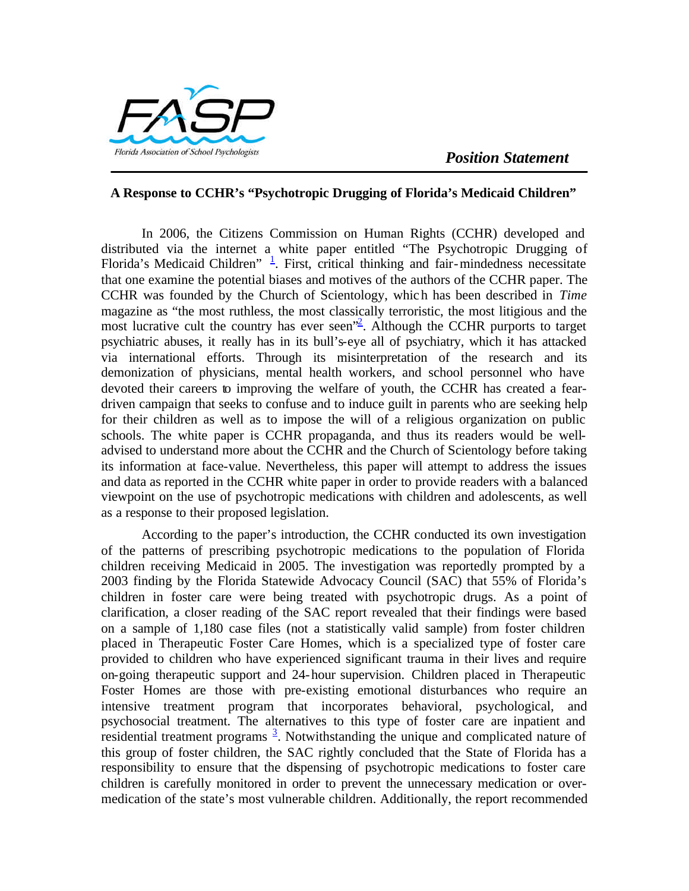## **A Response to CCHR's "Psychotropic Drugging of Florida's Medicaid Children"**

In 2006, the Citizens Commission on Human Rights (CCHR) developed and distributed via the internet a white paper entitled "The Psychotropic Drugging of Florida's Medicaid Children"  $\frac{1}{2}$ . First, critical thinking and fair-mindedness necessitate that one examine the potential biases and motives of the authors of the CCHR paper. The CCHR was founded by the Church of Scientology, which has been described in *Time*  magazine as "the most ruthless, the most classically terroristic, the most litigious and the most lucrative cult the country has ever seen<sup> $\frac{1}{2}$ </sup>. Although the CCHR purports to target psychiatric abuses, it really has in its bull's-eye all of psychiatry, which it has attacked via international efforts. Through its misinterpretation of the research and its demonization of physicians, mental health workers, and school personnel who have devoted their careers to improving the welfare of youth, the CCHR has created a feardriven campaign that seeks to confuse and to induce guilt in parents who are seeking help for their children as well as to impose the will of a religious organization on public schools. The white paper is CCHR propaganda, and thus its readers would be welladvised to understand more about the CCHR and the Church of Scientology before taking its information at face-value. Nevertheless, this paper will attempt to address the issues and data as reported in the CCHR white paper in order to provide readers with a balanced viewpoint on the use of psychotropic medications with children and adolescents, as well as a response to their proposed legislation.

According to the paper's introduction, the CCHR conducted its own investigation of the patterns of prescribing psychotropic medications to the population of Florida children receiving Medicaid in 2005. The investigation was reportedly prompted by a 2003 finding by the Florida Statewide Advocacy Council (SAC) that 55% of Florida's children in foster care were being treated with psychotropic drugs. As a point of clarification, a closer reading of the SAC report revealed that their findings were based on a sample of 1,180 case files (not a statistically valid sample) from foster children placed in Therapeutic Foster Care Homes, which is a specialized type of foster care provided to children who have experienced significant trauma in their lives and require on-going therapeutic support and 24-hour supervision. Children placed in Therapeutic Foster Homes are those with pre-existing emotional disturbances who require an intensive treatment program that incorporates behavioral, psychological, and psychosocial treatment. The alternatives to this type of foster care are inpatient and residential treatment programs  $\frac{3}{2}$ . Notwithstanding the unique and complicated nature of this group of foster children, the SAC rightly concluded that the State of Florida has a responsibility to ensure that the dispensing of psychotropic medications to foster care children is carefully monitored in order to prevent the unnecessary medication or overmedication of the state's most vulnerable children. Additionally, the report recommended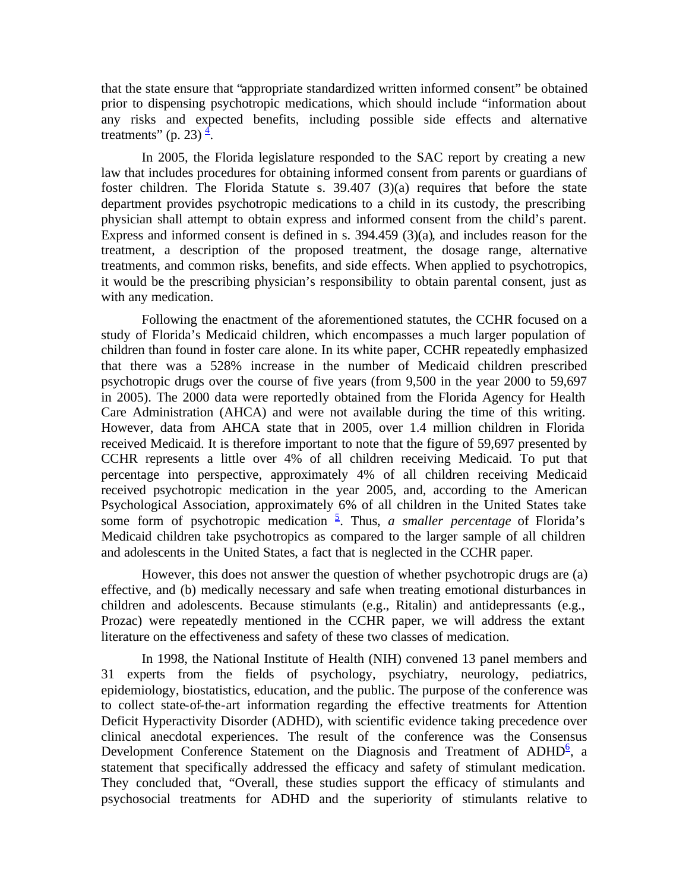that the state ensure that "appropriate standardized written informed consent" be obtained prior to dispensing psychotropic medications, which should include "information about any risks and expected benefits, including possible side effects and alternative treatments" (p. 23) $\frac{4}{1}$ .

In 2005, the Florida legislature responded to the SAC report by creating a new law that includes procedures for obtaining informed consent from parents or guardians of foster children. The Florida Statute s. 39.407 (3)(a) requires that before the state department provides psychotropic medications to a child in its custody, the prescribing physician shall attempt to obtain express and informed consent from the child's parent. Express and informed consent is defined in s. 394.459 (3)(a), and includes reason for the treatment, a description of the proposed treatment, the dosage range, alternative treatments, and common risks, benefits, and side effects. When applied to psychotropics, it would be the prescribing physician's responsibility to obtain parental consent, just as with any medication.

Following the enactment of the aforementioned statutes, the CCHR focused on a study of Florida's Medicaid children, which encompasses a much larger population of children than found in foster care alone. In its white paper, CCHR repeatedly emphasized that there was a 528% increase in the number of Medicaid children prescribed psychotropic drugs over the course of five years (from 9,500 in the year 2000 to 59,697 in 2005). The 2000 data were reportedly obtained from the Florida Agency for Health Care Administration (AHCA) and were not available during the time of this writing. However, data from AHCA state that in 2005, over 1.4 million children in Florida received Medicaid. It is therefore important to note that the figure of 59,697 presented by CCHR represents a little over 4% of all children receiving Medicaid. To put that percentage into perspective, approximately 4% of all children receiving Medicaid received psychotropic medication in the year 2005, and, according to the American Psychological Association, approximately 6% of all children in the United States take some form of psychotropic medication  $\frac{5}{5}$ . Thus, *a smaller percentage* of Florida's Medicaid children take psychotropics as compared to the larger sample of all children and adolescents in the United States, a fact that is neglected in the CCHR paper.

However, this does not answer the question of whether psychotropic drugs are (a) effective, and (b) medically necessary and safe when treating emotional disturbances in children and adolescents. Because stimulants (e.g., Ritalin) and antidepressants (e.g., Prozac) were repeatedly mentioned in the CCHR paper, we will address the extant literature on the effectiveness and safety of these two classes of medication.

In 1998, the National Institute of Health (NIH) convened 13 panel members and 31 experts from the fields of psychology, psychiatry, neurology, pediatrics, epidemiology, biostatistics, education, and the public. The purpose of the conference was to collect state-of-the-art information regarding the effective treatments for Attention Deficit Hyperactivity Disorder (ADHD), with scientific evidence taking precedence over clinical anecdotal experiences. The result of the conference was the Consensus Development Conference Statement on the Diagnosis and Treatment of ADHD<sup>6</sup>, a statement that specifically addressed the efficacy and safety of stimulant medication. They concluded that, "Overall, these studies support the efficacy of stimulants and psychosocial treatments for ADHD and the superiority of stimulants relative to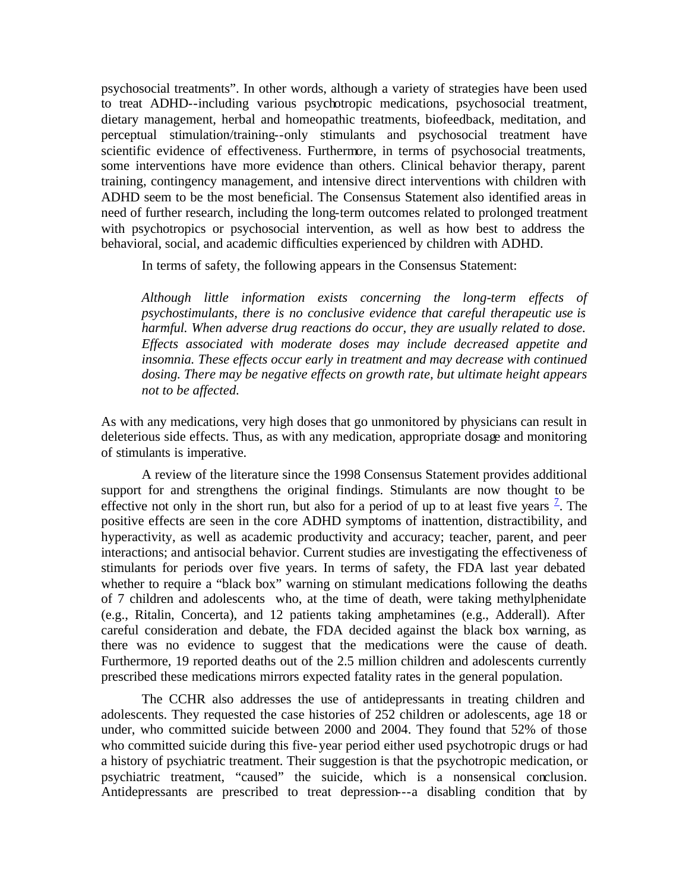psychosocial treatments". In other words, although a variety of strategies have been used to treat ADHD--including various psychotropic medications, psychosocial treatment, dietary management, herbal and homeopathic treatments, biofeedback, meditation, and perceptual stimulation/training--only stimulants and psychosocial treatment have scientific evidence of effectiveness. Furthermore, in terms of psychosocial treatments, some interventions have more evidence than others. Clinical behavior therapy, parent training, contingency management, and intensive direct interventions with children with ADHD seem to be the most beneficial. The Consensus Statement also identified areas in need of further research, including the long-term outcomes related to prolonged treatment with psychotropics or psychosocial intervention, as well as how best to address the behavioral, social, and academic difficulties experienced by children with ADHD.

In terms of safety, the following appears in the Consensus Statement:

*Although little information exists concerning the long-term effects of psychostimulants, there is no conclusive evidence that careful therapeutic use is harmful. When adverse drug reactions do occur, they are usually related to dose. Effects associated with moderate doses may include decreased appetite and insomnia. These effects occur early in treatment and may decrease with continued dosing. There may be negative effects on growth rate, but ultimate height appears not to be affected.* 

As with any medications, very high doses that go unmonitored by physicians can result in deleterious side effects. Thus, as with any medication, appropriate dosage and monitoring of stimulants is imperative.

A review of the literature since the 1998 Consensus Statement provides additional support for and strengthens the original findings. Stimulants are now thought to be effective not only in the short run, but also for a period of up to at least five years  $\frac{7}{1}$ . The positive effects are seen in the core ADHD symptoms of inattention, distractibility, and hyperactivity, as well as academic productivity and accuracy; teacher, parent, and peer interactions; and antisocial behavior. Current studies are investigating the effectiveness of stimulants for periods over five years. In terms of safety, the FDA last year debated whether to require a "black box" warning on stimulant medications following the deaths of 7 children and adolescents who, at the time of death, were taking methylphenidate (e.g., Ritalin, Concerta), and 12 patients taking amphetamines (e.g., Adderall). After careful consideration and debate, the FDA decided against the black box warning, as there was no evidence to suggest that the medications were the cause of death. Furthermore, 19 reported deaths out of the 2.5 million children and adolescents currently prescribed these medications mirrors expected fatality rates in the general population.

The CCHR also addresses the use of antidepressants in treating children and adolescents. They requested the case histories of 252 children or adolescents, age 18 or under, who committed suicide between 2000 and 2004. They found that 52% of those who committed suicide during this five-year period either used psychotropic drugs or had a history of psychiatric treatment. Their suggestion is that the psychotropic medication, or psychiatric treatment, "caused" the suicide, which is a nonsensical conclusion. Antidepressants are prescribed to treat depression---a disabling condition that by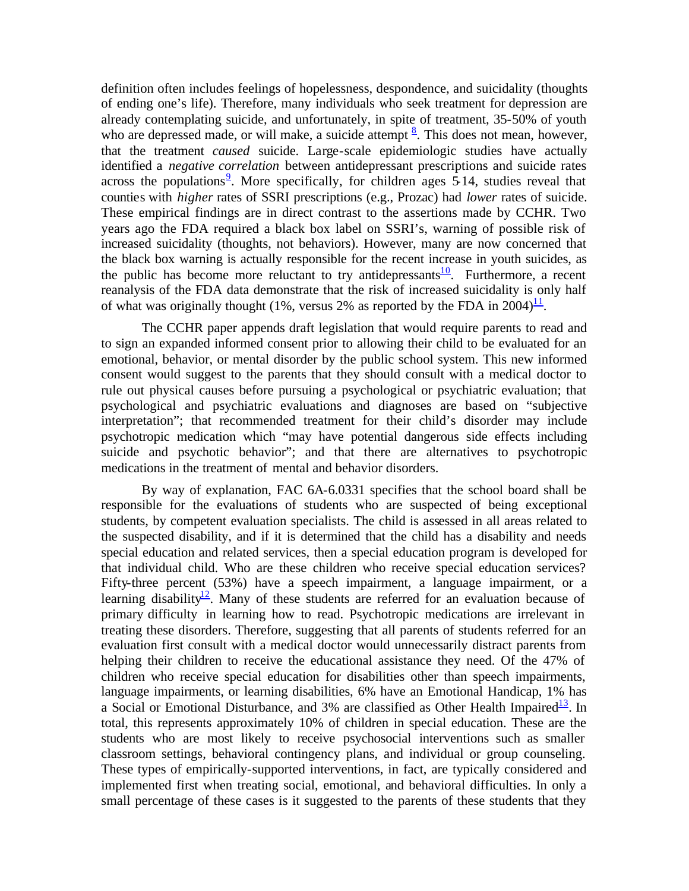definition often includes feelings of hopelessness, despondence, and suicidality (thoughts of ending one's life). Therefore, many individuals who seek treatment for depression are already contemplating suicide, and unfortunately, in spite of treatment, 35-50% of youth who are depressed made, or will make, a suicide attempt  $\frac{8}{3}$ . This does not mean, however, that the treatment *caused* suicide. Large-scale epidemiologic studies have actually identified a *negative correlation* between antidepressant prescriptions and suicide rates across the populations<sup>9</sup>. More specifically, for children ages  $\overline{5}$  14, studies reveal that counties with *higher* rates of SSRI prescriptions (e.g., Prozac) had *lower* rates of suicide. These empirical findings are in direct contrast to the assertions made by CCHR. Two years ago the FDA required a black box label on SSRI's, warning of possible risk of increased suicidality (thoughts, not behaviors). However, many are now concerned that the black box warning is actually responsible for the recent increase in youth suicides, as the public has become more reluctant to try antidepressants $\frac{10}{10}$ . Furthermore, a recent reanalysis of the FDA data demonstrate that the risk of increased suicidality is only half of what was originally thought (1%, versus 2% as reported by the FDA in  $2004)$ <sup>11</sup>.

The CCHR paper appends draft legislation that would require parents to read and to sign an expanded informed consent prior to allowing their child to be evaluated for an emotional, behavior, or mental disorder by the public school system. This new informed consent would suggest to the parents that they should consult with a medical doctor to rule out physical causes before pursuing a psychological or psychiatric evaluation; that psychological and psychiatric evaluations and diagnoses are based on "subjective interpretation"; that recommended treatment for their child's disorder may include psychotropic medication which "may have potential dangerous side effects including suicide and psychotic behavior"; and that there are alternatives to psychotropic medications in the treatment of mental and behavior disorders.

By way of explanation, FAC 6A-6.0331 specifies that the school board shall be responsible for the evaluations of students who are suspected of being exceptional students, by competent evaluation specialists. The child is assessed in all areas related to the suspected disability, and if it is determined that the child has a disability and needs special education and related services, then a special education program is developed for that individual child. Who are these children who receive special education services? Fifty-three percent (53%) have a speech impairment, a language impairment, or a learning disability<sup>12</sup>. Many of these students are referred for an evaluation because of primary difficulty in learning how to read. Psychotropic medications are irrelevant in treating these disorders. Therefore, suggesting that all parents of students referred for an evaluation first consult with a medical doctor would unnecessarily distract parents from helping their children to receive the educational assistance they need. Of the 47% of children who receive special education for disabilities other than speech impairments, language impairments, or learning disabilities, 6% have an Emotional Handicap, 1% has a Social or Emotional Disturbance, and 3% are classified as Other Health Impaired<sup>13</sup>. In total, this represents approximately 10% of children in special education. These are the students who are most likely to receive psychosocial interventions such as smaller classroom settings, behavioral contingency plans, and individual or group counseling. These types of empirically-supported interventions, in fact, are typically considered and implemented first when treating social, emotional, and behavioral difficulties. In only a small percentage of these cases is it suggested to the parents of these students that they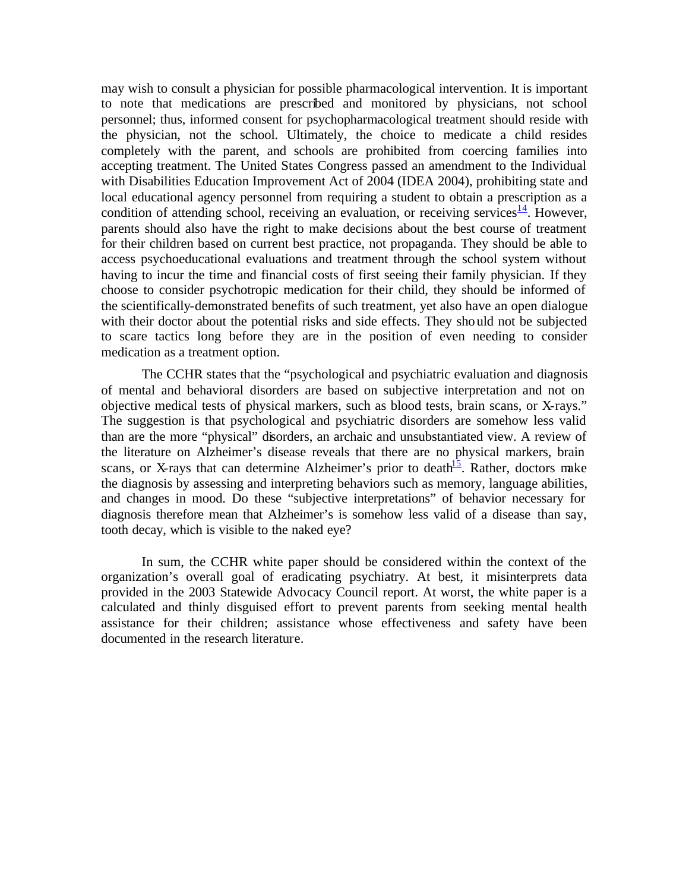may wish to consult a physician for possible pharmacological intervention. It is important to note that medications are prescribed and monitored by physicians, not school personnel; thus, informed consent for psychopharmacological treatment should reside with the physician, not the school. Ultimately, the choice to medicate a child resides completely with the parent, and schools are prohibited from coercing families into accepting treatment. The United States Congress passed an amendment to the Individual with Disabilities Education Improvement Act of 2004 (IDEA 2004), prohibiting state and local educational agency personnel from requiring a student to obtain a prescription as a condition of attending school, receiving an evaluation, or receiving services  $\frac{14}{1}$ . However, parents should also have the right to make decisions about the best course of treatment for their children based on current best practice, not propaganda. They should be able to access psychoeducational evaluations and treatment through the school system without having to incur the time and financial costs of first seeing their family physician. If they choose to consider psychotropic medication for their child, they should be informed of the scientifically-demonstrated benefits of such treatment, yet also have an open dialogue with their doctor about the potential risks and side effects. They should not be subjected to scare tactics long before they are in the position of even needing to consider medication as a treatment option.

The CCHR states that the "psychological and psychiatric evaluation and diagnosis of mental and behavioral disorders are based on subjective interpretation and not on objective medical tests of physical markers, such as blood tests, brain scans, or X-rays." The suggestion is that psychological and psychiatric disorders are somehow less valid than are the more "physical" disorders, an archaic and unsubstantiated view. A review of the literature on Alzheimer's disease reveals that there are no physical markers, brain scans, or X-rays that can determine Alzheimer's prior to death<sup>15</sup>. Rather, doctors make the diagnosis by assessing and interpreting behaviors such as memory, language abilities, and changes in mood. Do these "subjective interpretations" of behavior necessary for diagnosis therefore mean that Alzheimer's is somehow less valid of a disease than say, tooth decay, which is visible to the naked eye?

In sum, the CCHR white paper should be considered within the context of the organization's overall goal of eradicating psychiatry. At best, it misinterprets data provided in the 2003 Statewide Advocacy Council report. At worst, the white paper is a calculated and thinly disguised effort to prevent parents from seeking mental health assistance for their children; assistance whose effectiveness and safety have been documented in the research literature.